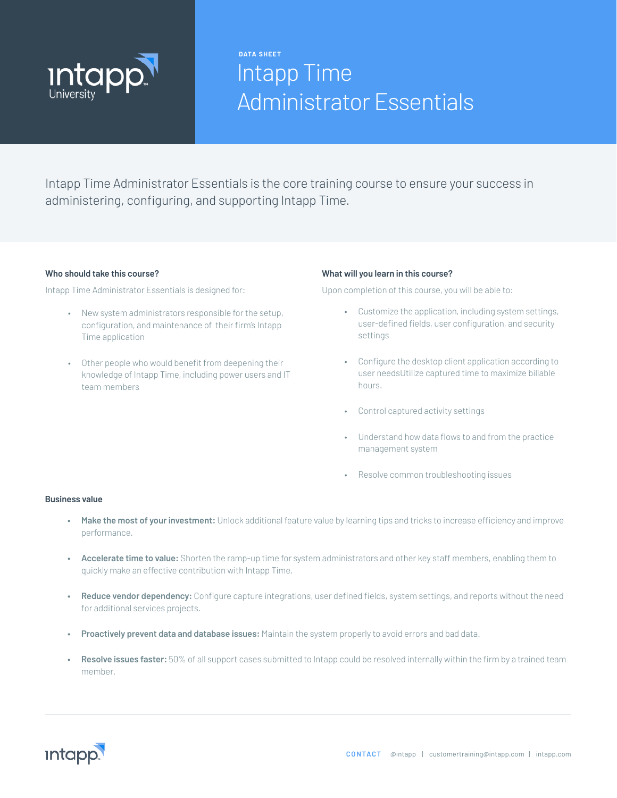

# Intapp Time Administrator Essentials **DATA SHEET**

Intapp Time Administrator Essentials is the core training course to ensure your success in administering, configuring, and supporting Intapp Time.

#### **Who should take this course?**

Intapp Time Administrator Essentials is designed for:

- New system administrators responsible for the setup, configuration, and maintenance of their firm's Intapp Time application
- Other people who would benefit from deepening their knowledge of Intapp Time, including power users and IT team members

#### **What will you learn in this course?**

Upon completion of this course, you will be able to:

- Customize the application, including system settings, user-defined fields, user configuration, and security settings
- Configure the desktop client application according to user needsUtilize captured time to maximize billable hours.
- Control captured activity settings
- Understand how data flows to and from the practice management system
- Resolve common troubleshooting issues

#### **Business value**

- **• Make the most of your investment:** Unlock additional feature value by learning tips and tricks to increase efficiency and improve performance.
- **• Accelerate time to value:** Shorten the ramp-up time for system administrators and other key staff members, enabling them to quickly make an effective contribution with Intapp Time.
- **• Reduce vendor dependency:** Configure capture integrations, user defined fields, system settings, and reports without the need for additional services projects.
- **• Proactively prevent data and database issues:** Maintain the system properly to avoid errors and bad data.
- **• Resolve issues faster:** 50% of all support cases submitted to Intapp could be resolved internally within the firm by a trained team member.